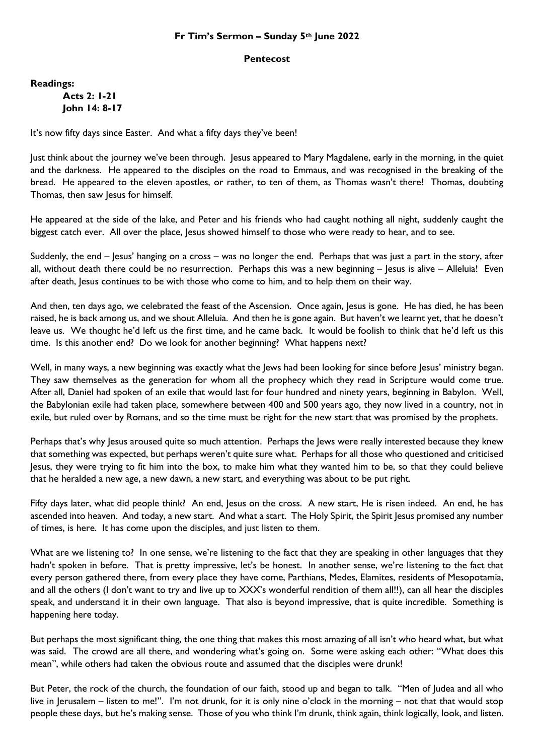## **Fr Tim's Sermon – Sunday 5th June 2022**

## **Pentecost**

**Readings:**

**Acts 2: 1-21 John 14: 8-17**

It's now fifty days since Easter. And what a fifty days they've been!

Just think about the journey we've been through. Jesus appeared to Mary Magdalene, early in the morning, in the quiet and the darkness. He appeared to the disciples on the road to Emmaus, and was recognised in the breaking of the bread. He appeared to the eleven apostles, or rather, to ten of them, as Thomas wasn't there! Thomas, doubting Thomas, then saw Jesus for himself.

He appeared at the side of the lake, and Peter and his friends who had caught nothing all night, suddenly caught the biggest catch ever. All over the place, Jesus showed himself to those who were ready to hear, and to see.

Suddenly, the end – lesus' hanging on a cross – was no longer the end. Perhaps that was just a part in the story, after all, without death there could be no resurrection. Perhaps this was a new beginning – Jesus is alive – Alleluia! Even after death, Jesus continues to be with those who come to him, and to help them on their way.

And then, ten days ago, we celebrated the feast of the Ascension. Once again, Jesus is gone. He has died, he has been raised, he is back among us, and we shout Alleluia. And then he is gone again. But haven't we learnt yet, that he doesn't leave us. We thought he'd left us the first time, and he came back. It would be foolish to think that he'd left us this time. Is this another end? Do we look for another beginning? What happens next?

Well, in many ways, a new beginning was exactly what the Jews had been looking for since before Jesus' ministry began. They saw themselves as the generation for whom all the prophecy which they read in Scripture would come true. After all, Daniel had spoken of an exile that would last for four hundred and ninety years, beginning in Babylon. Well, the Babylonian exile had taken place, somewhere between 400 and 500 years ago, they now lived in a country, not in exile, but ruled over by Romans, and so the time must be right for the new start that was promised by the prophets.

Perhaps that's why Jesus aroused quite so much attention. Perhaps the Jews were really interested because they knew that something was expected, but perhaps weren't quite sure what. Perhaps for all those who questioned and criticised Jesus, they were trying to fit him into the box, to make him what they wanted him to be, so that they could believe that he heralded a new age, a new dawn, a new start, and everything was about to be put right.

Fifty days later, what did people think? An end, Jesus on the cross. A new start, He is risen indeed. An end, he has ascended into heaven. And today, a new start. And what a start. The Holy Spirit, the Spirit Jesus promised any number of times, is here. It has come upon the disciples, and just listen to them.

What are we listening to? In one sense, we're listening to the fact that they are speaking in other languages that they hadn't spoken in before. That is pretty impressive, let's be honest. In another sense, we're listening to the fact that every person gathered there, from every place they have come, Parthians, Medes, Elamites, residents of Mesopotamia, and all the others (I don't want to try and live up to XXX's wonderful rendition of them all!!), can all hear the disciples speak, and understand it in their own language. That also is beyond impressive, that is quite incredible. Something is happening here today.

But perhaps the most significant thing, the one thing that makes this most amazing of all isn't who heard what, but what was said. The crowd are all there, and wondering what's going on. Some were asking each other: "What does this mean", while others had taken the obvious route and assumed that the disciples were drunk!

But Peter, the rock of the church, the foundation of our faith, stood up and began to talk. "Men of Judea and all who live in Jerusalem – listen to me!". I'm not drunk, for it is only nine o'clock in the morning – not that that would stop people these days, but he's making sense. Those of you who think I'm drunk, think again, think logically, look, and listen.